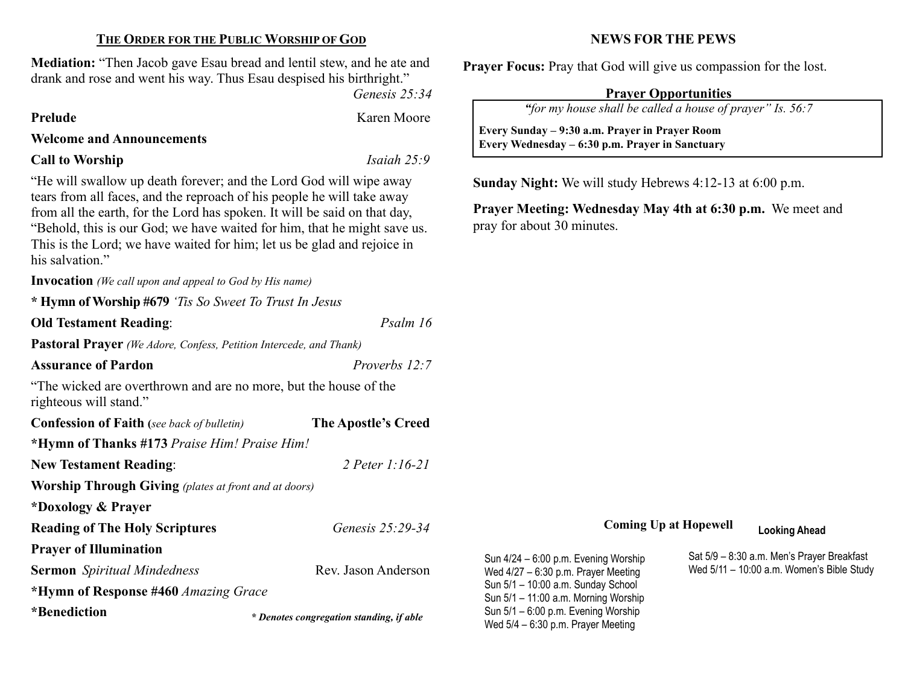## THE ORDER FOR THE PUBLIC WORSHIP OF GOD

Mediation: "Then Jacob gave Esau bread and lentil stew, and he ate and drank and rose and went his way. Thus Esau despised his birthright."

Genesis 25:34

Prelude Karen Moore

### Welcome and Announcements

Call to Worship Isaiah 25:9

"He will swallow up death forever; and the Lord God will wipe away tears from all faces, and the reproach of his people he will take away from all the earth, for the Lord has spoken. It will be said on that day, "Behold, this is our God; we have waited for him, that he might save us. This is the Lord; we have waited for him; let us be glad and rejoice in his salvation."

Invocation (We call upon and appeal to God by His name)

\* Hymn of Worship #679 'Tis So Sweet To Trust In Jesus

## Old Testament Reading: Psalm 16

Pastoral Prayer (We Adore, Confess, Petition Intercede, and Thank)

Assurance of Pardon **Proverbs 12:7** 

"The wicked are overthrown and are no more, but the house of the righteous will stand."

| <b>Confession of Faith</b> (see back of bulletin)            | The Apostle's Creed     |  |  |  |
|--------------------------------------------------------------|-------------------------|--|--|--|
| *Hymn of Thanks #173 Praise Him! Praise Him!                 |                         |  |  |  |
| <b>New Testament Reading:</b>                                | 2 Peter 1:16-21         |  |  |  |
| <b>Worship Through Giving</b> (plates at front and at doors) |                         |  |  |  |
| *Doxology & Prayer                                           |                         |  |  |  |
| <b>Reading of The Holy Scriptures</b>                        | <i>Genesis 25:29-34</i> |  |  |  |
| <b>Prayer of Illumination</b>                                |                         |  |  |  |
| <b>Sermon</b> Spiritual Mindedness                           | Rev. Jason Anderson     |  |  |  |
| *Hymn of Response #460 Amazing Grace                         |                         |  |  |  |
| *Benediction                                                 |                         |  |  |  |

NEWS FOR THE PEWS

Prayer Focus: Pray that God will give us compassion for the lost.

## Prayer Opportunities

"for my house shall be called a house of prayer" Is. 56:7

 Every Sunday – 9:30 a.m. Prayer in Prayer Room Every Wednesday – 6:30 p.m. Prayer in Sanctuary

Sunday Night: We will study Hebrews 4:12-13 at 6:00 p.m.

Prayer Meeting: Wednesday May 4th at 6:30 p.m. We meet and pray for about 30 minutes.

## Coming Up at Hopewell Looking Ahead

Sun 4/24 – 6:00 p.m. Evening Worship Wed 4/27 – 6:30 p.m. Prayer Meeting Sun 5/1 – 10:00 a.m. Sunday School Sun 5/1 – 11:00 a.m. Morning Worship Sun 5/1 – 6:00 p.m. Evening Worship **EXECUTE:** Denotes congregation standing, if able<br>Wed 5/4 – 6:30 p.m. Prayer Meeting

Sat 5/9 – 8:30 a.m. Men's Prayer Breakfast Wed 5/11 – 10:00 a.m. Women's Bible Study

 $\overline{\phantom{a}}$